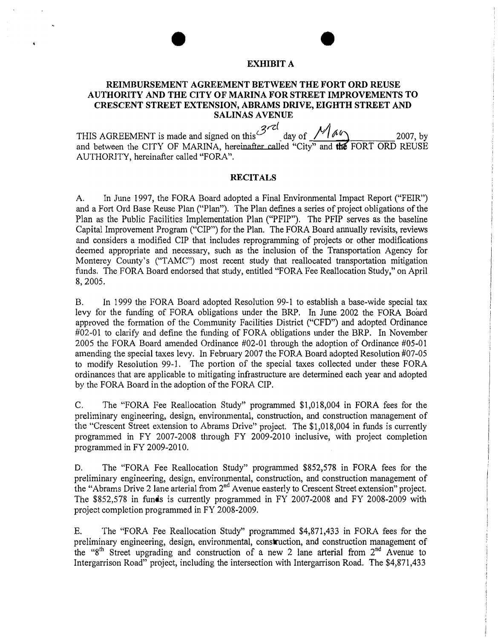#### EXHIBIT A

### REIMBURSEMENT AGREEMENT BETWEEN THE FORT ORD REUSE AUTHORITY AND THE CITY OF MARINA FOR STREET IMPROVEMENTS TO CRESCENT STREET EXTENSION, ABRAMS DRIVE, EIGHTH STREET AND SALINAS AVENUE

THIS AGREEMENT is made and signed on this  $3 \ell$ THIS AGREEMENT is made and signed on this <sup>3rd</sup>\_day of *May* 2007, by and between the CITY OF MARINA, hereinafter called "City" and **the** FORT ORD REUSE AUTHORJTY, hereinafter called "FORA".

#### **RECITALS**

A. In June 1997, the FORA Board adopted a Final Environmental Impact Report ("FEIR") and a Fort Ord Base Reuse Plan ("Plan"). The Plan defines a series of project obligations of the Plan as the Public Facilities Implementation Plan ("PFIP"). The PFIP serves as the baseline Capital Improvement Program ("CIP") for the Plan. The FORA Board annually revisits, reviews and considers a modified CIP that includes reprogramming of projects or other modifications deemed appropriate and necessary, such as the inclusion of the Transportation Agency for Monterey County's ("TAMC") most recent study that reallocated transportation mitigation funds. The FORA Board endorsed that study, entitled "FORA Fee Reallocation Study," on April 8, 2005.

B. In 1999 the FORA Board adopted Resolution 99-1 to establish a base-wide special tax levy for the funding of FORA obligations under the BRP. In June 2002 the FORA Board approved the formation of the Community Facilities District ("CFD") and adopted Ordinance #02-01 to clarify and define the funding of FORA obligations under the BRP. In November 2005 the FORA Board amended Ordinance #02-01 through the adoption of Ordinance #05-01 amending the special taxes levy. In February 2007 the FORA Board adopted Resolution #07-05 to modify Resolution 99-1. The portion of the special taxes collected under these FORA ordinances that are applicable to mitigating infrastructure are determined each year and adopted by the FORA Board in the adoption of the FORA CIP.

C. The "FORA Fee Reallocation Study" programmed \$1,018,004 in FORA fees for the preliminary engineering, design, enviromnental, construction, and construction management of the "Crescent Street extension to Abrams Drive" project. The  $$1,018,004$  in funds is currently programmed in FY 2007-2008 through FY 2009-2010 inclusive, with project completion programmed in FY 2009-2010.

D. The ''FORA Fee Reallocation Study" programmed \$852,578 in FORA fees for the preliminary engineering, design, environmental, construction, and construction management of the "Abrams Drive 2 lane arterial from 2<sup>nd</sup> Avenue easterly to Crescent Street extension" project. The \$852,578 in funds is currently programmed in FY 2007-2008 and FY 2008-2009 with project completion programmed in FY 2008-2009.

E. The "FORA Fee Reallocation Study" programmed \$4,871,433 in FORA fees for the preliminary engineering, design, environmental, construction, and construction management of the "8<sup>th</sup> Street upgrading and construction of a new 2 lane arterial from  $2^{nd}$  Avenue to Intergarrison Road" project, including the intersection with Intergarrison Road. The \$4,871,433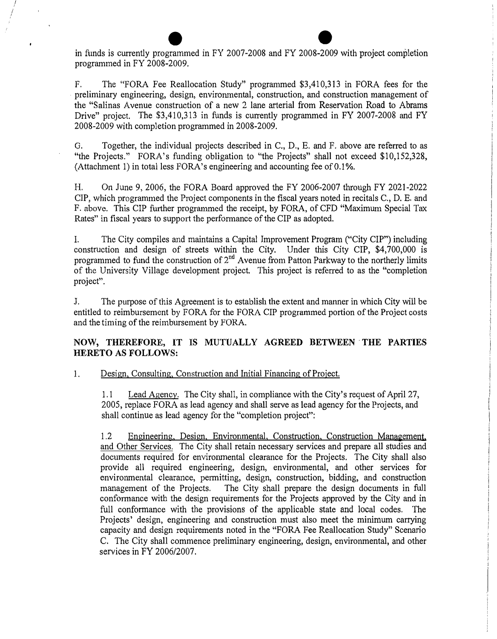in funds is currently programmed in FY 2007-2008 and FY 2008-2009 with project completion programmed in FY 2008-2009.

*/ I*  I

> F. The "FORA Fee Reallocation Study" programmed \$3,410,313 in FORA fees for the preliminary engineering, design, environmental, construction, and construction management of the "Salinas A venue construction of a new 2 lane arterial from Reservation Road to Abrams Drive" project. The \$3,410,313 in funds is currently programmed in FY 2007-2008 and FY 2008�2009 with completion programmed in 2008-2009.

> G. Together, the individual projects described in C., D., E. and F. above are referred to as "the Projects." FORA's funding obligation to �'the Projects" shall not exceed \$10,152,328, (Attachment 1) in total less FORA's engineering and accounting fee of 0.1%.

> H. On June 9, 2006, the FORA Board approved the FY 2006-2007 through FY 2021-2022 CIP, which programmed the Project components in the fiscal years noted in recitals C., D. E. and F. above. This CIP fwther programmed the receipt, by FORA, of CFD "Maximum Special Tax Rates" in fiscal years to support the performance of the CIP as adopted.

> I. The City compiles and maintains a Capital Improvement Program ("'City CIP") including construction and design of streets within the City. Under this City CIP, \$4,700,000 is programmed to fund the construction of 2<sup>nd</sup> Avenue from Patton Parkway to the northerly limits of the University Village development project. This project is referred to as the "completion project".

> J. The purpose of this Agreement is to establish the extent and manner in which City will be entitled to reimbursement by FORA for the FORA CIP programmed portion of the Project costs and the timing of the reimbursement by FORA.

# **NOW, THEREFORE, IT IS MUTUALLY AGREED BETWEEN THE PARTIES HERETO AS FOLLOWS:**

## 1. Design, Consulting, Construction and Initial Financing of Project.

1.1 Lead Agency. The City shall, in compliance with the City's request of April 27, 2005, replace FORA as lead agency and shall serve as lead agency for the Projects, and shall continue as lead agency for the "completion project":

1.2 Engineering, Design, Environmental, Construction, Construction Management, and Other Services. The City shall retain necessary services and prepare all studies and documents required for environmental clearance for the Projects. The City shall also provide all required engineering, design, environmental, and other services for environmental clearance, permitting, design, construction, bidding, and construction management of the Projects. The City shall prepare the design documents in full conformance with the design requirements for the Projects approved by the City and in full conformance with the provisions of the applicable state and local codes. The Projects' design, engineering and construction must also meet the minimum carrying capacity and design requirements noted in the "FORA Fee Reallocation Study" Scenario C. The City shall commence preliminary engineering, design, environmental, and other services in FY 2006/2007.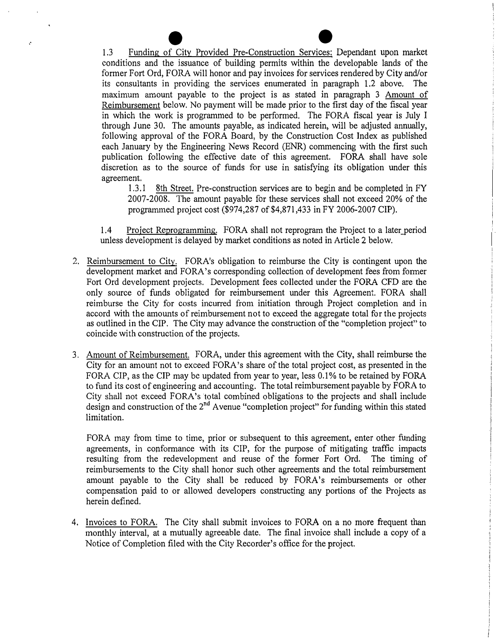e and the extending of City Provided Pre-Construction Services: Dependant upon market conditions and the issuance of building permits within the developable lands of the former Fort Ord, FORA will honor and pay invoices for services rendered by City and/or its consultants in providing the services enumerated in paragraph 1.2 above. The maximum amount payable to the project is as stated in paragraph 3 Amount of Reimbursement below. No payment will be made prior to the first day of the fiscal year in which the work is programmed to be performed. The FORA fiscal year is July I through June 30. The amounts payable, as indicated herein, will be adjusted annually, following approval of the FORA Board, by the Construction Cost Index as published each January by the Engineering News Record (ENR) commencing with the first such publication following the effective date of this agreement. FORA shall have sole discretion as to the source of funds for use in satisfying its obligation under this agreement.<br> $1.3.1$ 

ż

8th Street. Pre-construction services are to begin and be completed in FY 2007-2008. The amount payable for these services shall not exceed 20% of the programmed project cost (\$974,287 of \$4,871,433 in FY 2006-2007 CIP).

1.4 Project Reprogramming. FORA shall not reprogram the Project to a later\_period unless development is delayed by market conditions as noted in Article 2 below.

- 2. Reimbursement to City. FORA's obligation to reimburse the City is contingent upon the development market and FORA's corresponding collection of development fees from former Fort Ord development projects. Development fees collected under the FORA CFD are the only source of funds obligated for reimbursement under this Agreement. FORA shall reimburse the City for costs incurred from initiation through Project completion and in accord with the amounts of reimbursement not to exceed the aggregate total for the projects as outlined in the CIP. The City may advance the construction of the "completion project" to coincide with construction of the projects.
- 3. Amount of Reimbursement. FORA, under this agreement with the City, shall reimburse the City for an amount not to exceed FORA's share of the total project cost, as presented in the FORA CIP, as the CIP may be updated from year to year, less 0.1% to be retained by FORA to fund its cost of engineering and accounting. The total reimbursement payable by FORA to City shall not exceed FORA's total combined obligations to the projects and shall include design and construction of the 2<sup>nd</sup> Avenue "completion project" for funding within this stated limitation.

FORA may from time to time, prior or subsequent to this agreement, enter other funding agreements, in conformance with its CIP, for the purpose of mitigating traffic impacts resulting from the redevelopment and reuse of the former Fort Ord. The timing of reimbursements to the City shall honor such other agreements and the total reimbursement amount payable to the City shall be reduced by FORA's reimbursements or other compensation paid to or allowed developers constructing any portions of the Projects as herein defined.

4. Invoices to FORA. The City shall submit invoices to FORA on a no more frequent than monthly interval, at a mutually agreeable date. The final invoice shall include a copy of a Notice of Completion filed with the City Recorder's office for the project.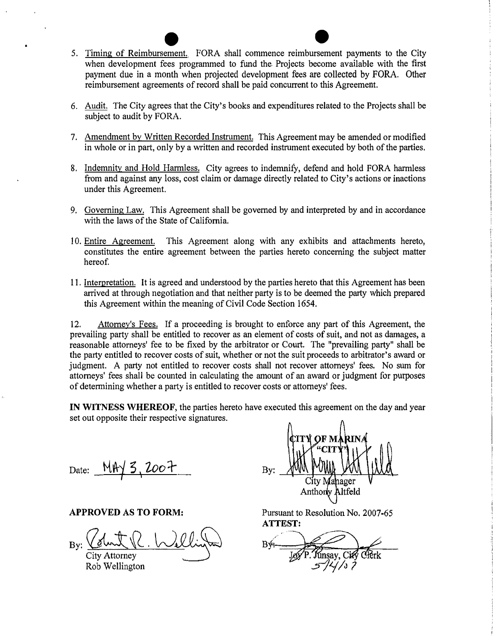- e **Exercise 19 and 20 and 20 and 30 and 31 and 32**<br>5. <u>Timing of Reimbursement.</u> FORA shall commence reimbursement payments to the City when development fees programmed to fund the Projects become available with the first payment due in a month when projected development fees are collected by FORA. Other reimbursement agreements of record shall be paid concurrent to this Agreement.
- 6. Audit. The City agrees that the City's books and expenditures related to the Projects shall be subject to audit by FORA.
- 7. Amendment by Written Recorded Instrument. This Agreement may be amended or modified in whole or in part, only by a written and recorded instrument executed by both of the parties.
- 8. Indemnity and Hold Harmless. City agrees to indemnify, defend and hold FORA harmless from and against any loss, cost claim or damage directly related to City's actions or inactions under this Agreement.
- 9. Governing Law. This Agreement shall be governed by and interpreted by and in accordance with the laws of the State of California.
- 10. Entire Agreement. This Agreement along with any exhibits and attachments hereto, constitutes the entire agreement between the parties hereto concerning the subject matter hereof.
- 11. Interpretation. It is agreed and understood by the parties hereto that this Agreement has been arrived at through negotiation and that neither party is to be deemed the party which prepared this Agreement within the meaning of Civil Code Section 1654.

12. Attorney's Fees. If a proceeding is brought to enforce any part of this Agreement, the prevailing party shall be entitled to recover as an element of costs of suit, and not as damages, a reasonable attorneys' fee to be fixed by the arbitrator or Court. The "prevailing party" shall be the party entitled to recover costs of suit, whether or not the suit proceeds to arbitrator's award or judgment. A party not entitled to recover costs shall not recover attorneys' fees. No sum for attorneys' fees shall be counted in calculating the amount of an award or judgment for purposes of determining whether a party is entitled to recover costs or attorneys' fees.

**IN WITNESS WHEREOF,** the parties hereto have executed this agreement on the day and year set out opposite their respective signatures.

Date: <u>MAY 3, 2007</u> ۲

**APPROVED AS TO FORM:** 

**City Attorney** Rob Wellington

Bv: City Mahager Anthony Altfeld

r<br>|<br>|<br>|

Pursuant to Resolution No. 2007-65 **ATTEST:**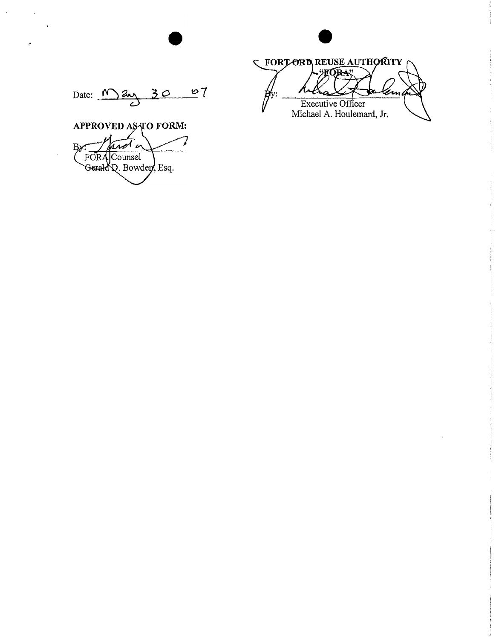**C FORTORD REUSE AUTHORITY** TÓRA en Executive Officer<br>Michael A. Houlemard, Jr.

 $\frac{107}{10}$ Date: <u>May 30</u>

APPROVED AS TO FORM: not a B<sub>2</sub> FORA Counsel Gerald Q. Bowder, Esq.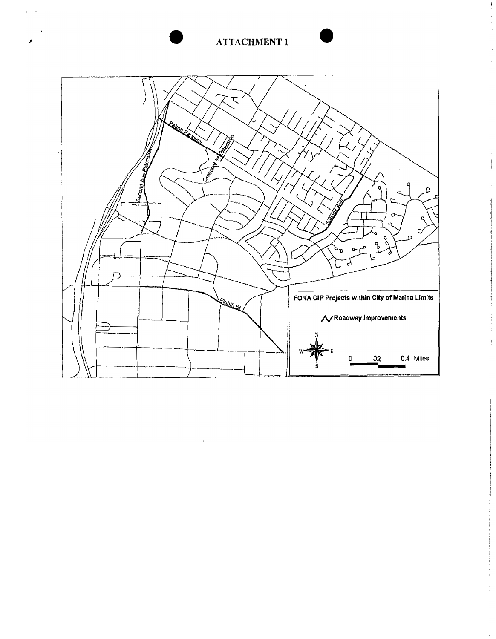# **ATTACHMENT 1**

 $\mathbf{r}$ 

 $\pmb{\mathcal{F}}$